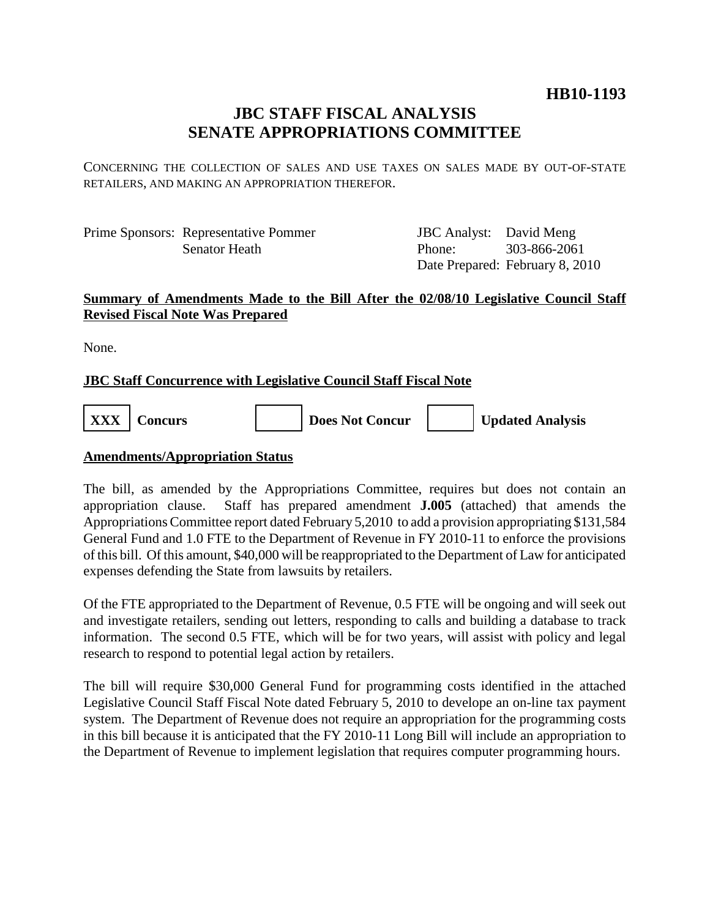## **HB10-1193**

# **JBC STAFF FISCAL ANALYSIS SENATE APPROPRIATIONS COMMITTEE**

CONCERNING THE COLLECTION OF SALES AND USE TAXES ON SALES MADE BY OUT-OF-STATE RETAILERS, AND MAKING AN APPROPRIATION THEREFOR.

Prime Sponsors: Representative Pommer Senator Heath

JBC Analyst: David Meng Phone: Date Prepared: February 8, 2010 303-866-2061

#### **Summary of Amendments Made to the Bill After the 02/08/10 Legislative Council Staff Revised Fiscal Note Was Prepared**

None.

### **JBC Staff Concurrence with Legislative Council Staff Fiscal Note**

**XXX Concurs Does Not Concur Updated Analysis**

#### **Amendments/Appropriation Status**

The bill, as amended by the Appropriations Committee, requires but does not contain an appropriation clause. Staff has prepared amendment **J.005** (attached) that amends the Appropriations Committee report dated February 5,2010 to add a provision appropriating \$131,584 General Fund and 1.0 FTE to the Department of Revenue in FY 2010-11 to enforce the provisions of this bill. Of this amount, \$40,000 will be reappropriated to the Department of Law for anticipated expenses defending the State from lawsuits by retailers.

Of the FTE appropriated to the Department of Revenue, 0.5 FTE will be ongoing and will seek out and investigate retailers, sending out letters, responding to calls and building a database to track information. The second 0.5 FTE, which will be for two years, will assist with policy and legal research to respond to potential legal action by retailers.

The bill will require \$30,000 General Fund for programming costs identified in the attached Legislative Council Staff Fiscal Note dated February 5, 2010 to develope an on-line tax payment system. The Department of Revenue does not require an appropriation for the programming costs in this bill because it is anticipated that the FY 2010-11 Long Bill will include an appropriation to the Department of Revenue to implement legislation that requires computer programming hours.